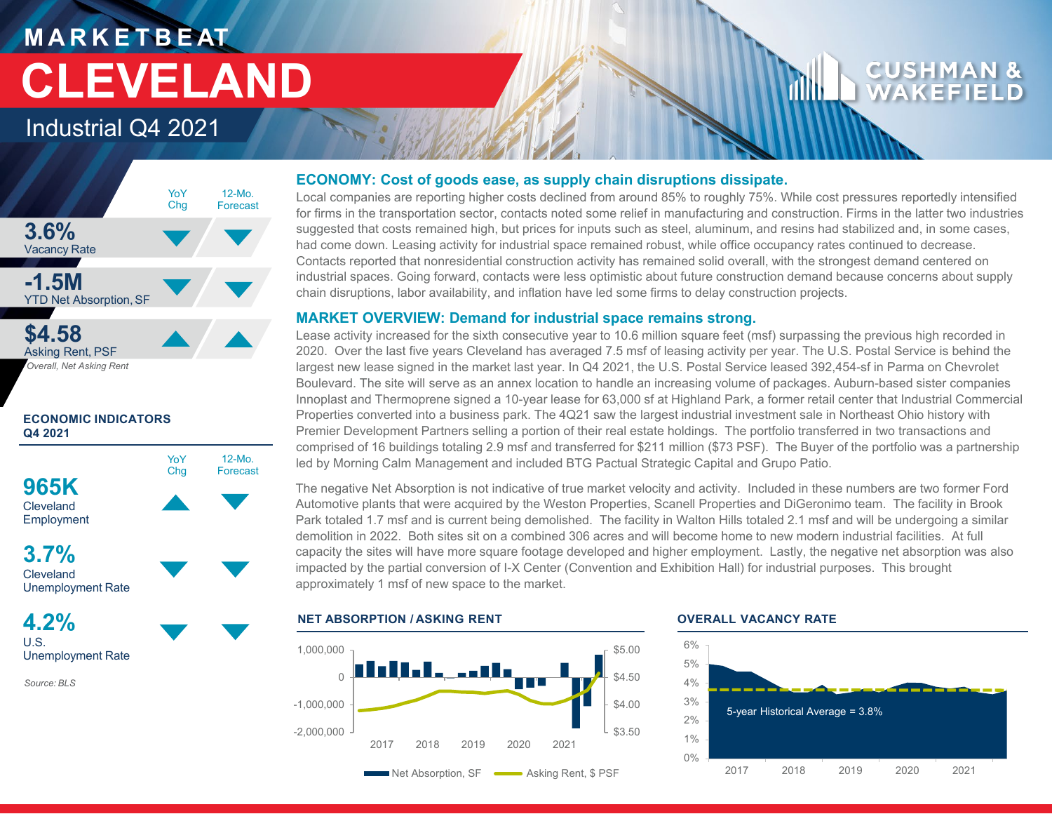# **M A R K E T B E AT CLEVELAND**

### Industrial Q4 2021



### **ECONOMIC INDICATORS Q4 2021**



**3.7% Cleveland** Unemployment Rate

**4.2%** U.S. Unemployment Rate

*Source: BLS*

### **ECONOMY: Cost of goods ease, as supply chain disruptions dissipate.**

Local companies are reporting higher costs declined from around 85% to roughly 75%. While cost pressures reportedly intensified for firms in the transportation sector, contacts noted some relief in manufacturing and construction. Firms in the latter two industries suggested that costs remained high, but prices for inputs such as steel, aluminum, and resins had stabilized and, in some cases, had come down. Leasing activity for industrial space remained robust, while office occupancy rates continued to decrease. Contacts reported that nonresidential construction activity has remained solid overall, with the strongest demand centered on industrial spaces. Going forward, contacts were less optimistic about future construction demand because concerns about supply chain disruptions, labor availability, and inflation have led some firms to delay construction projects.

### **MARKET OVERVIEW: Demand for industrial space remains strong.**

Lease activity increased for the sixth consecutive year to 10.6 million square feet (msf) surpassing the previous high recorded in 2020. Over the last five years Cleveland has averaged 7.5 msf of leasing activity per year. The U.S. Postal Service is behind the largest new lease signed in the market last year. In Q4 2021, the U.S. Postal Service leased 392,454-sf in Parma on Chevrolet Boulevard. The site will serve as an annex location to handle an increasing volume of packages. Auburn-based sister companies Innoplast and Thermoprene signed a 10-year lease for 63,000 sf at Highland Park, a former retail center that Industrial Commercial Properties converted into a business park. The 4Q21 saw the largest industrial investment sale in Northeast Ohio history with Premier Development Partners selling a portion of their real estate holdings. The portfolio transferred in two transactions and comprised of 16 buildings totaling 2.9 msf and transferred for \$211 million (\$73 PSF). The Buyer of the portfolio was a partnership led by Morning Calm Management and included BTG Pactual Strategic Capital and Grupo Patio.

The negative Net Absorption is not indicative of true market velocity and activity. Included in these numbers are two former Ford Automotive plants that were acquired by the Weston Properties, Scanell Properties and DiGeronimo team. The facility in Brook Park totaled 1.7 msf and is current being demolished. The facility in Walton Hills totaled 2.1 msf and will be undergoing a similar demolition in 2022. Both sites sit on a combined 306 acres and will become home to new modern industrial facilities. At full capacity the sites will have more square footage developed and higher employment. Lastly, the negative net absorption was also impacted by the partial conversion of I-X Center (Convention and Exhibition Hall) for industrial purposes. This brought approximately 1 msf of new space to the market.

### **NET ABSORPTION / ASKING RENT OVERALL VACANCY RATE**





**CUSHM** WAKEFI